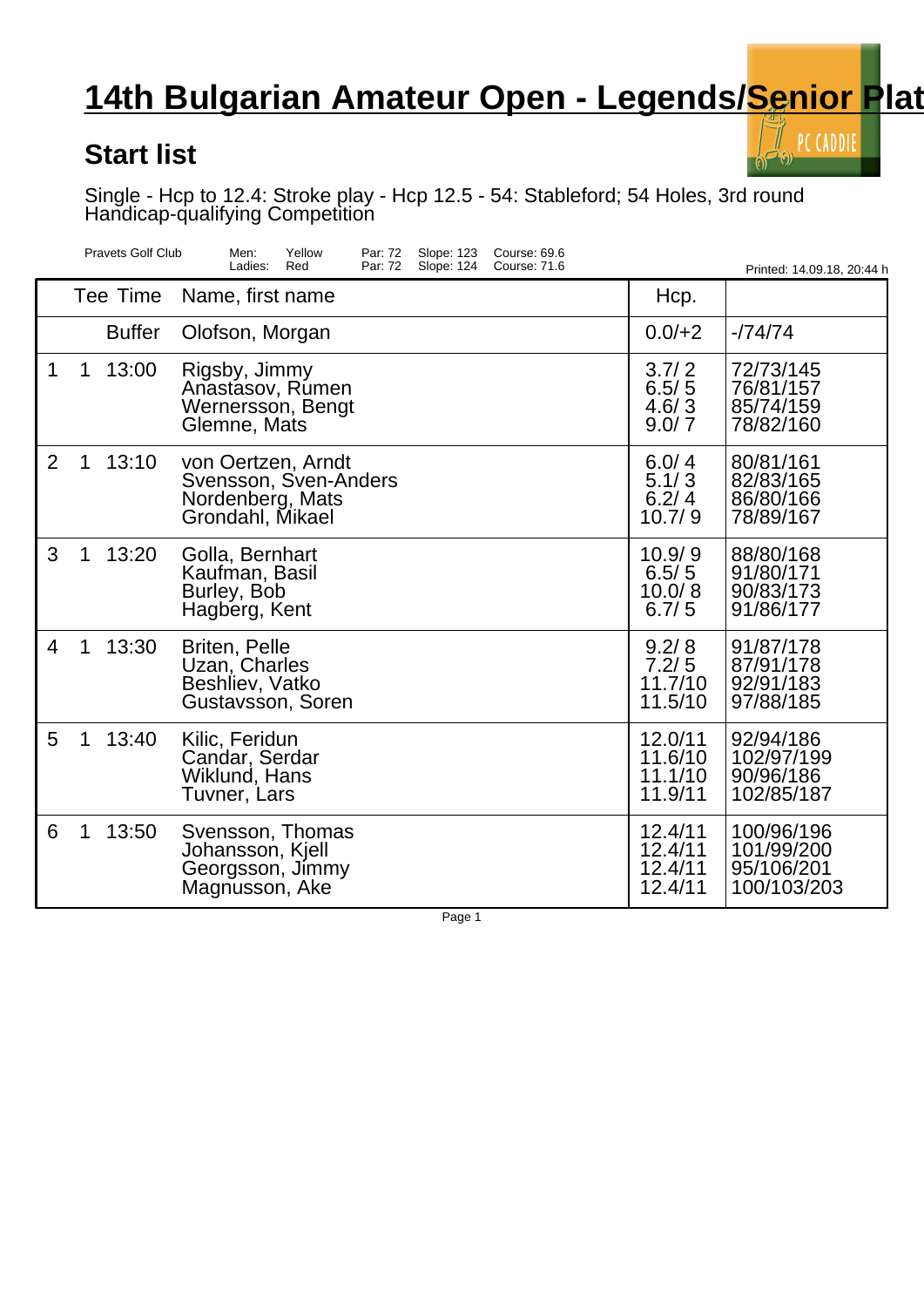## **14th Bulgarian Amateur Open - Legends/Senior Plat**

## **Start list**

PC CADDIE

Single - Hcp to 12.4: Stroke play - Hcp 12.5 - 54: Stableford; 54 Holes, 3rd round Handicap-qualifying Competition

|                | <b>Pravets Golf Club</b> | Men:<br>Yellow<br>Par: 72<br>Slope: 123<br>Course: 69.6<br>Ladies:<br>Par: 72<br>Slope: 124<br>Course: 71.6<br>Red |                                          | Printed: 14.09.18, 20:44 h                            |
|----------------|--------------------------|--------------------------------------------------------------------------------------------------------------------|------------------------------------------|-------------------------------------------------------|
|                | Tee Time                 | Name, first name                                                                                                   | Hcp.                                     |                                                       |
|                | <b>Buffer</b>            | Olofson, Morgan                                                                                                    | $0.0/+2$                                 | $-74/74$                                              |
| 1              | 13:00<br>$\mathbf 1$     | Rigsby, Jimmy<br>Anastasov, Rumen<br>Wernersson, Bengt<br>Glemne, Mats                                             | 3.7/2<br>6.5/5<br>4.6/3<br>9.0/7         | 72/73/145<br>76/81/157<br>85/74/159<br>78/82/160      |
| $\overline{2}$ | 1<br>13:10               | von Oertzen, Arndt<br>Svensson, Sven-Anders<br>Nordenberg, Mats<br>Grondahl, Mikael                                | 6.0/4<br>5.1/3<br>6.2/4<br>10.7/9        | 80/81/161<br>82/83/165<br>86/80/166<br>78/89/167      |
| 3              | 13:20<br>1               | Golla, Bernhart<br>Kaufman, Basil<br>Burley, Bob<br>Hagberg, Kent                                                  | 10.9/9<br>6.5/5<br>10.0/8<br>6.7/5       | 88/80/168<br>91/80/171<br>90/83/173<br>91/86/177      |
| 4              | $\mathbf 1$<br>13:30     | <b>Briten, Pelle</b><br>Uzan, Charles<br>Beshliev, Vatko<br>Gustavsson, Soren                                      | 9.2/8<br>7.2/5<br>11.7/10<br>11.5/10     | 91/87/178<br>87/91/178<br>92/91/183<br>97/88/185      |
| 5              | 13:40<br>1               | Kilic, Feridun<br>Candar, Serdar<br>Wiklund, Hans<br>Tuvner, Lars                                                  | 12.0/11<br>11.6/10<br>11.1/10<br>11.9/11 | 92/94/186<br>102/97/199<br>90/96/186<br>102/85/187    |
| 6              | 1<br>13:50               | Svensson, Thomas<br>Johansson, Kjell<br>Georgsson, Jimmy<br>Magnusson, Ake                                         | 12.4/11<br>12.4/11<br>12.4/11<br>12.4/11 | 100/96/196<br>101/99/200<br>95/106/201<br>100/103/203 |

Page 1